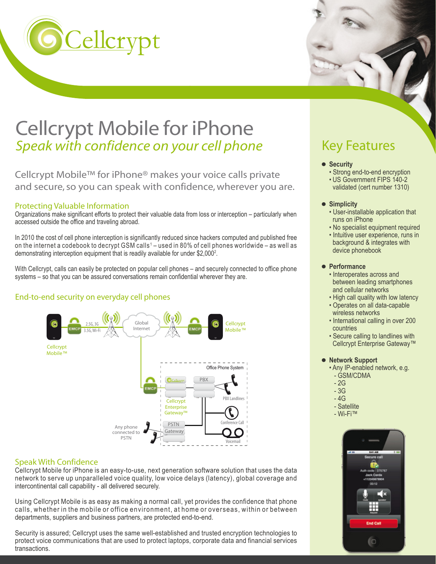

# Cellcrypt Mobile for iPhone *Speak with confidence on your cell phone*

Cellcrypt Mobile™ for iPhone® makes your voice calls private and secure, so you can speak with confidence, wherever you are.

### Protecting Valuable Information

Organizations make significant efforts to protect their valuable data from loss or interception – particularly when accessed outside the office and traveling abroad.

In 2010 the cost of cell phone interception is significantly reduced since hackers computed and published free on the internet a codebook to decrypt GSM calls' – used in 80% of cell phones worldwide – as well as demonstrating interception equipment that is readily available for under \$2,000<sup>2</sup>.

With Cellcrypt, calls can easily be protected on popular cell phones – and securely connected to office phone systems – so that you can be assured conversations remain confidential wherever they are.

### End-to-end security on everyday cell phones



### Speak With Confidence

Cellcrypt Mobile for iPhone is an easy-to-use, next generation software solution that uses the data network to serve up unparalleled voice quality, low voice delays (latency), global coverage and intercontinental call capability - all delivered securely.

Using Cellcrypt Mobile is as easy as making a normal call, yet provides the confidence that phone calls, whether in the mobile or office environment, at home or overseas, within or between departments, suppliers and business partners, are protected end-to-end.

Security is assured; Cellcrypt uses the same well-established and trusted encryption technologies to protect voice communications that are used to protect laptops, corporate data and financial services transactions.

# Key Features

- $\bullet$  Security
	- Strong end-to-end encryption
	- US Government FIPS 140-2
	- validated (cert number 1310)
- **Simplicity**
	- User-installable application that runs on iPhone
	- No specialist equipment required
	- Intuitive user experience, runs in background & integrates with device phonebook

### **Performance**

- Interoperates across and between leading smartphones and cellular networks
- High call quality with low latency
- Operates on all data-capable wireless networks
- International calling in over 200 countries
- Secure calling to landlines with Cellcrypt Enterprise Gateway™

### **Network Support**

- Any IP-enabled network, e.g. - GSM/CDMA
- 2G
- 3G
- 4G
- Satellite
- Wi-Fi™